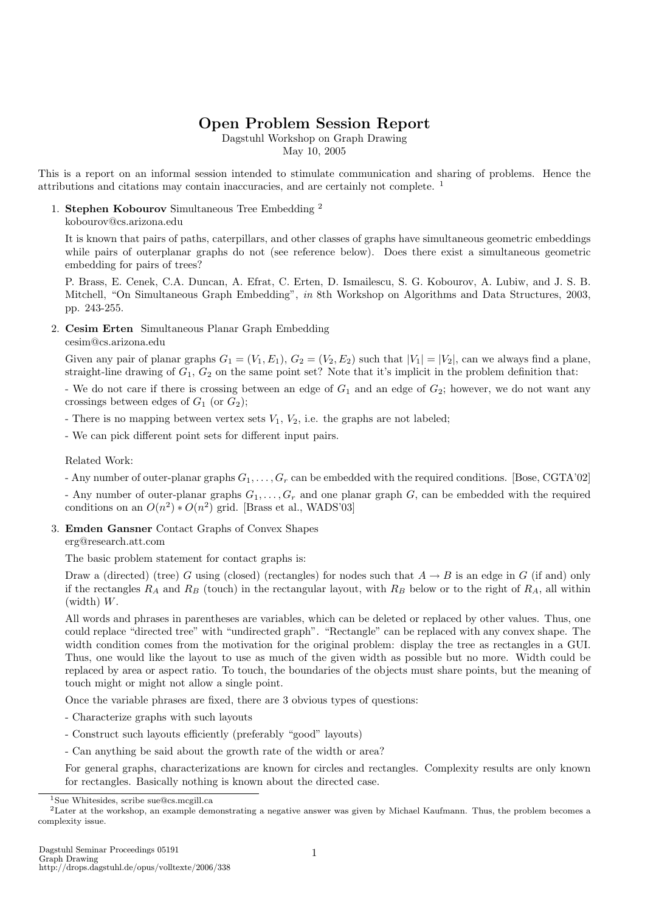# Open Problem Session Report

Dagstuhl Workshop on Graph Drawing

May 10, 2005

This is a report on an informal session intended to stimulate communication and sharing of problems. Hence the attributions and citations may contain inaccuracies, and are certainly not complete. <sup>1</sup>

## 1. Stephen Kobourov Simultaneous Tree Embedding <sup>2</sup>

### kobourov@cs.arizona.edu

It is known that pairs of paths, caterpillars, and other classes of graphs have simultaneous geometric embeddings while pairs of outerplanar graphs do not (see reference below). Does there exist a simultaneous geometric embedding for pairs of trees?

P. Brass, E. Cenek, C.A. Duncan, A. Efrat, C. Erten, D. Ismailescu, S. G. Kobourov, A. Lubiw, and J. S. B. Mitchell, "On Simultaneous Graph Embedding", in 8th Workshop on Algorithms and Data Structures, 2003, pp. 243-255.

2. Cesim Erten Simultaneous Planar Graph Embedding

## cesim@cs.arizona.edu

Given any pair of planar graphs  $G_1 = (V_1, E_1), G_2 = (V_2, E_2)$  such that  $|V_1| = |V_2|$ , can we always find a plane, straight-line drawing of  $G_1, G_2$  on the same point set? Note that it's implicit in the problem definition that:

- We do not care if there is crossing between an edge of  $G_1$  and an edge of  $G_2$ ; however, we do not want any crossings between edges of  $G_1$  (or  $G_2$ );

- There is no mapping between vertex sets  $V_1$ ,  $V_2$ , i.e. the graphs are not labeled;

- We can pick different point sets for different input pairs.

Related Work:

- Any number of outer-planar graphs  $G_1, \ldots, G_r$  can be embedded with the required conditions. [Bose, CGTA'02]
- Any number of outer-planar graphs  $G_1, \ldots, G_r$  and one planar graph G, can be embedded with the required conditions on an  $O(n^2) * O(n^2)$  grid. [Brass et al., WADS'03]

## 3. Emden Gansner Contact Graphs of Convex Shapes

## erg@research.att.com

The basic problem statement for contact graphs is:

Draw a (directed) (tree) G using (closed) (rectangles) for nodes such that  $A \to B$  is an edge in G (if and) only if the rectangles  $R_A$  and  $R_B$  (touch) in the rectangular layout, with  $R_B$  below or to the right of  $R_A$ , all within (width) W.

All words and phrases in parentheses are variables, which can be deleted or replaced by other values. Thus, one could replace "directed tree" with "undirected graph". "Rectangle" can be replaced with any convex shape. The width condition comes from the motivation for the original problem: display the tree as rectangles in a GUI. Thus, one would like the layout to use as much of the given width as possible but no more. Width could be replaced by area or aspect ratio. To touch, the boundaries of the objects must share points, but the meaning of touch might or might not allow a single point.

Once the variable phrases are fixed, there are 3 obvious types of questions:

- Characterize graphs with such layouts
- Construct such layouts efficiently (preferably "good" layouts)
- Can anything be said about the growth rate of the width or area?

For general graphs, characterizations are known for circles and rectangles. Complexity results are only known for rectangles. Basically nothing is known about the directed case.

<sup>1</sup>Sue Whitesides, scribe sue@cs.mcgill.ca

<sup>&</sup>lt;sup>2</sup>Later at the workshop, an example demonstrating a negative answer was given by Michael Kaufmann. Thus, the problem becomes a complexity issue.